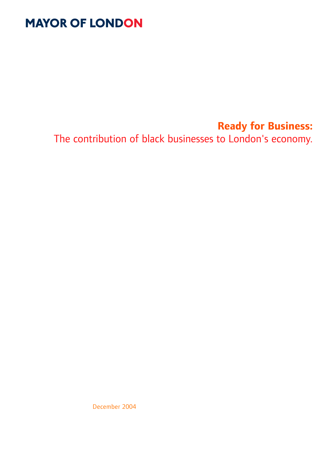# **MAYOR OF LONDON**

# **Ready for Business:**

The contribution of black businesses to London's economy.

December 2004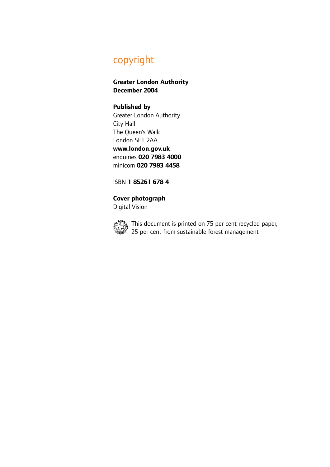# copyright

**Greater London Authority December 2004**

### **Published by**

Greater London Authority City Hall The Queen's Walk London SE1 2AA **www.london.gov.uk** enquiries **020 7983 4000** minicom **020 7983 4458**

ISBN **1 85261 678 4**

# **Cover photograph**

Digital Vision



This document is printed on 75 per cent recycled paper, 25 per cent from sustainable forest management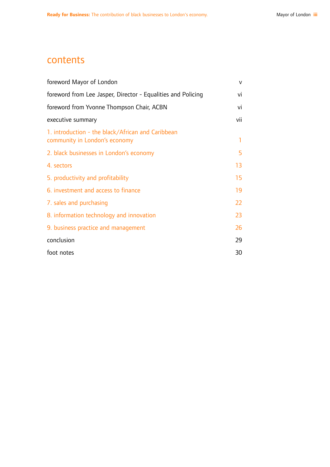## contents

| foreword Mayor of London                                                           | v   |
|------------------------------------------------------------------------------------|-----|
| foreword from Lee Jasper, Director - Equalities and Policing                       |     |
| foreword from Yvonne Thompson Chair, ACBN                                          |     |
| executive summary                                                                  | vii |
| 1. introduction - the black/African and Caribbean<br>community in London's economy | 1   |
| 2. black businesses in London's economy                                            | 5   |
| 4. sectors                                                                         | 13  |
| 5. productivity and profitability                                                  | 15  |
| 6. investment and access to finance                                                | 19  |
| 7. sales and purchasing                                                            | 22  |
| 8. information technology and innovation                                           | 23  |
| 9. business practice and management                                                | 26  |
| conclusion                                                                         | 29  |
| foot notes                                                                         | 30  |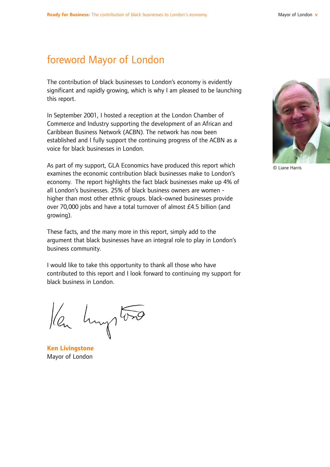## foreword Mayor of London

The contribution of black businesses to London's economy is evidently significant and rapidly growing, which is why I am pleased to be launching this report.

In September 2001, I hosted a reception at the London Chamber of Commerce and Industry supporting the development of an African and Caribbean Business Network (ACBN). The network has now been established and I fully support the continuing progress of the ACBN as a voice for black businesses in London.

As part of my support, GLA Economics have produced this report which examines the economic contribution black businesses make to London's economy. The report highlights the fact black businesses make up 4% of all London's businesses. 25% of black business owners are women higher than most other ethnic groups. black-owned businesses provide over 70,000 jobs and have a total turnover of almost £4.5 billion (and growing).

These facts, and the many more in this report, simply add to the argument that black businesses have an integral role to play in London's business community.

I would like to take this opportunity to thank all those who have contributed to this report and I look forward to continuing my support for black business in London.

len humptons

**Ken Livingstone** Mayor of London



© Liane Harris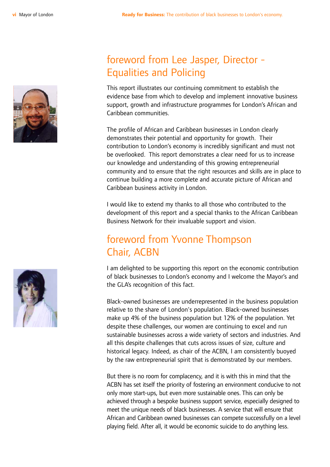

# foreword from Lee Jasper, Director - Equalities and Policing

This report illustrates our continuing commitment to establish the evidence base from which to develop and implement innovative business support, growth and infrastructure programmes for London's African and Caribbean communities.

The profile of African and Caribbean businesses in London clearly demonstrates their potential and opportunity for growth. Their contribution to London's economy is incredibly significant and must not be overlooked. This report demonstrates a clear need for us to increase our knowledge and understanding of this growing entrepreneurial community and to ensure that the right resources and skills are in place to continue building a more complete and accurate picture of African and Caribbean business activity in London.

I would like to extend my thanks to all those who contributed to the development of this report and a special thanks to the African Caribbean Business Network for their invaluable support and vision.

# foreword from Yvonne Thompson Chair, ACBN

I am delighted to be supporting this report on the economic contribution of black businesses to London's economy and I welcome the Mayor's and the GLA's recognition of this fact.

Black-owned businesses are underrepresented in the business population relative to the share of London's population. Black-owned businesses make up 4% of the business population but 12% of the population. Yet despite these challenges, our women are continuing to excel and run sustainable businesses across a wide variety of sectors and industries. And all this despite challenges that cuts across issues of size, culture and historical legacy. Indeed, as chair of the ACBN, I am consistently buoyed by the raw entrepreneurial spirit that is demonstrated by our members.

But there is no room for complacency, and it is with this in mind that the ACBN has set itself the priority of fostering an environment conducive to not only more start-ups, but even more sustainable ones. This can only be achieved through a bespoke business support service, especially designed to meet the unique needs of black businesses. A service that will ensure that African and Caribbean owned businesses can compete successfully on a level playing field. After all, it would be economic suicide to do anything less.

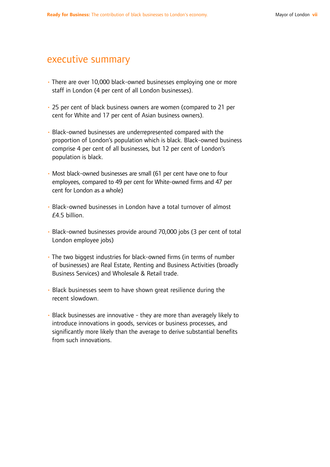## executive summary

- There are over 10,000 black-owned businesses employing one or more staff in London (4 per cent of all London businesses).
- 25 per cent of black business owners are women (compared to 21 per cent for White and 17 per cent of Asian business owners).
- Black-owned businesses are underrepresented compared with the proportion of London's population which is black. Black-owned business comprise 4 per cent of all businesses, but 12 per cent of London's population is black.
- Most black-owned businesses are small (61 per cent have one to four employees, compared to 49 per cent for White-owned firms and 47 per cent for London as a whole)
- Black-owned businesses in London have a total turnover of almost £4.5 billion.
- Black-owned businesses provide around 70,000 jobs (3 per cent of total London employee jobs)
- The two biggest industries for black-owned firms (in terms of number of businesses) are Real Estate, Renting and Business Activities (broadly Business Services) and Wholesale & Retail trade.
- Black businesses seem to have shown great resilience during the recent slowdown.
- Black businesses are innovative they are more than averagely likely to introduce innovations in goods, services or business processes, and significantly more likely than the average to derive substantial benefits from such innovations.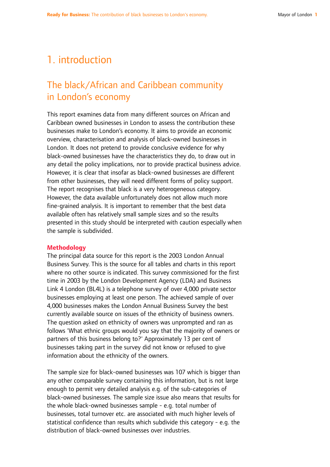# 1. introduction

## The black/African and Caribbean community in London's economy

This report examines data from many different sources on African and Caribbean owned businesses in London to assess the contribution these businesses make to London's economy. It aims to provide an economic overview, characterisation and analysis of black-owned businesses in London. It does not pretend to provide conclusive evidence for why black-owned businesses have the characteristics they do, to draw out in any detail the policy implications, nor to provide practical business advice. However, it is clear that insofar as black-owned businesses are different from other businesses, they will need different forms of policy support. The report recognises that black is a very heterogeneous category. However, the data available unfortunately does not allow much more fine-grained analysis. It is important to remember that the best data available often has relatively small sample sizes and so the results presented in this study should be interpreted with caution especially when the sample is subdivided.

#### **Methodology**

The principal data source for this report is the 2003 London Annual Business Survey. This is the source for all tables and charts in this report where no other source is indicated. This survey commissioned for the first time in 2003 by the London Development Agency (LDA) and Business Link 4 London (BL4L) is a telephone survey of over 4,000 private sector businesses employing at least one person. The achieved sample of over 4,000 businesses makes the London Annual Business Survey the best currently available source on issues of the ethnicity of business owners. The question asked on ethnicity of owners was unprompted and ran as follows 'What ethnic groups would you say that the majority of owners or partners of this business belong to?' Approximately 13 per cent of businesses taking part in the survey did not know or refused to give information about the ethnicity of the owners.

The sample size for black-owned businesses was 107 which is bigger than any other comparable survey containing this information, but is not large enough to permit very detailed analysis e.g. of the sub-categories of black-owned businesses. The sample size issue also means that results for the whole black-owned businesses sample - e.g. total number of businesses, total turnover etc. are associated with much higher levels of statistical confidence than results which subdivide this category - e.g. the distribution of black-owned businesses over industries.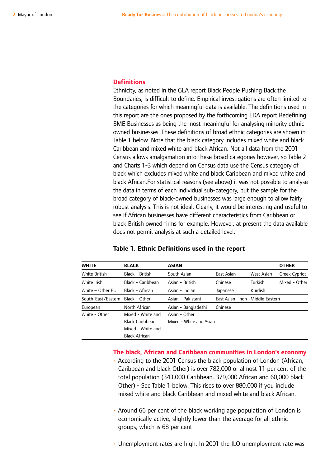#### **Definitions**

Ethnicity, as noted in the GLA report Black People Pushing Back the Boundaries, is difficult to define. Empirical investigations are often limited to the categories for which meaningful data is available. The definitions used in this report are the ones proposed by the forthcoming LDA report Redefining BME Businesses as being the most meaningful for analysing minority ethnic owned businesses. These definitions of broad ethnic categories are shown in Table 1 below. Note that the black category includes mixed white and black Caribbean and mixed white and black African. Not all data from the 2001 Census allows amalgamation into these broad categories however, so Table 2 and Charts 1-3 which depend on Census data use the Census category of black which excludes mixed white and black Caribbean and mixed white and black African.For statistical reasons (see above) it was not possible to analyse the data in terms of each individual sub-category, but the sample for the broad category of black-owned businesses was large enough to allow fairly robust analysis. This is not ideal. Clearly, it would be interesting and useful to see if African businesses have different characteristics from Caribbean or black British owned firms for example. However, at present the data available does not permit analysis at such a detailed level.

| <b>WHITE</b>       | <b>BLACK</b>           | <b>ASIAN</b>            |                  |                | <b>OTHER</b>  |
|--------------------|------------------------|-------------------------|------------------|----------------|---------------|
| White British      | Black - British        | South Asian             | East Asian       | West Asian     | Greek Cypriot |
| White Irish        | Black - Caribbean      | Asian - British         | Chinese          | Turkish        | Mixed - Other |
| White - Other EU   | Black - African        | Asian - Indian          | Japanese         | Kurdish        |               |
| South-East/Eastern | Black - Other          | Asian - Pakistani       | East Asian - non | Middle Eastern |               |
| European           | North African          | Asian - Bangladeshi     | Chinese          |                |               |
| White - Other      | Mixed - White and      | Asian - Other           |                  |                |               |
|                    | <b>Black Caribbean</b> | Mixed - White and Asian |                  |                |               |
|                    | Mixed - White and      |                         |                  |                |               |
|                    | <b>Black African</b>   |                         |                  |                |               |

#### **Table 1. Ethnic Definitions used in the report**

#### **The black, African and Caribbean communities in London's economy**

- According to the 2001 Census the black population of London (African, Caribbean and black Other) is over 782,000 or almost 11 per cent of the total population (343,000 Caribbean, 379,000 African and 60,000 black Other) - See Table 1 below. This rises to over 880,000 if you include mixed white and black Caribbean and mixed white and black African.
- Around 66 per cent of the black working age population of London is economically active, slightly lower than the average for all ethnic groups, which is 68 per cent.
- Unemployment rates are high. In 2001 the ILO unemployment rate was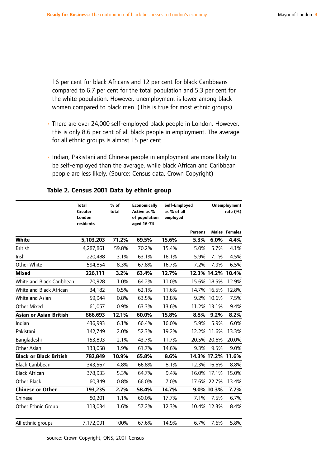16 per cent for black Africans and 12 per cent for black Caribbeans compared to 6.7 per cent for the total population and 5.3 per cent for the white population. However, unemployment is lower among black women compared to black men. (This is true for most ethnic groups).

- There are over 24,000 self-employed black people in London. However, this is only 8.6 per cent of all black people in employment. The average for all ethnic groups is almost 15 per cent.
- Indian, Pakistani and Chinese people in employment are more likely to be self-employed than the average, while black African and Caribbean people are less likely. (Source: Census data, Crown Copyright)

|                               | <b>Total</b><br><b>Greater</b><br>London<br>residents | % of<br>total | <b>Economically</b><br>Active as %<br>of population<br>aged 16-74 | Self-Employed<br>as % of all<br>employed |                |             | <b>Unemployment</b><br>rate (%) |
|-------------------------------|-------------------------------------------------------|---------------|-------------------------------------------------------------------|------------------------------------------|----------------|-------------|---------------------------------|
|                               |                                                       |               |                                                                   |                                          | <b>Persons</b> |             | <b>Males Females</b>            |
| White                         | 5,103,203                                             | 71.2%         | 69.5%                                                             | 15.6%                                    | 5.3%           | 6.0%        | 4.4%                            |
| <b>British</b>                | 4,287,861                                             | 59.8%         | 70.2%                                                             | 15.4%                                    | 5.0%           | 5.7%        | 4.1%                            |
| Irish                         | 220,488                                               | 3.1%          | 63.1%                                                             | 16.1%                                    | 5.9%           | 7.1%        | 4.5%                            |
| Other White                   | 594,854                                               | 8.3%          | 67.8%                                                             | 16.7%                                    | 7.2%           | 7.9%        | 6.5%                            |
| <b>Mixed</b>                  | 226,111                                               | 3.2%          | 63.4%                                                             | 12.7%                                    | 12.3% 14.2%    |             | 10.4%                           |
| White and Black Caribbean     | 70,928                                                | 1.0%          | 64.2%                                                             | 11.0%                                    |                | 15.6% 18.5% | 12.9%                           |
| White and Black African       | 34,182                                                | 0.5%          | 62.1%                                                             | 11.6%                                    | 14.7%          | 16.5%       | 12.8%                           |
| White and Asian               | 59,944                                                | 0.8%          | 63.5%                                                             | 13.8%                                    |                | 9.2% 10.6%  | 7.5%                            |
| Other Mixed                   | 61,057                                                | 0.9%          | 63.3%                                                             | 13.6%                                    |                | 11.2% 13.1% | 9.4%                            |
| <b>Asian or Asian British</b> | 866,693                                               | 12.1%         | 60.0%                                                             | 15.8%                                    | 8.8%           | 9.2%        | 8.2%                            |
| Indian                        | 436,993                                               | 6.1%          | 66.4%                                                             | 16.0%                                    | 5.9%           | 5.9%        | 6.0%                            |
| Pakistani                     | 142,749                                               | 2.0%          | 52.3%                                                             | 19.2%                                    | 12.2%          | 11.6%       | 13.3%                           |
| Bangladeshi                   | 153,893                                               | 2.1%          | 43.7%                                                             | 11.7%                                    |                | 20.5% 20.6% | 20.0%                           |
| Other Asian                   | 133,058                                               | 1.9%          | 61.7%                                                             | 14.6%                                    | 9.3%           | 9.5%        | 9.0%                            |
| <b>Black or Black British</b> | 782,849                                               | 10.9%         | 65.8%                                                             | 8.6%                                     | 14.3% 17.2%    |             | 11.6%                           |
| <b>Black Caribbean</b>        | 343,567                                               | 4.8%          | 66.8%                                                             | 8.1%                                     |                | 12.3% 16.6% | 8.8%                            |
| <b>Black African</b>          | 378,933                                               | 5.3%          | 64.7%                                                             | 9.4%                                     |                | 16.0% 17.1% | 15.0%                           |
| Other Black                   | 60,349                                                | 0.8%          | 66.0%                                                             | 7.0%                                     |                | 17.6% 22.7% | 13.4%                           |
| <b>Chinese or Other</b>       | 193,235                                               | 2.7%          | 58.4%                                                             | 14.7%                                    |                | 9.0% 10.3%  | 7.7%                            |
| Chinese                       | 80,201                                                | 1.1%          | 60.0%                                                             | 17.7%                                    | 7.1%           | 7.5%        | 6.7%                            |
| Other Ethnic Group            | 113,034                                               | 1.6%          | 57.2%                                                             | 12.3%                                    |                | 10.4% 12.3% | 8.4%                            |
| All ethnic groups             | 7,172,091                                             | 100%          | 67.6%                                                             | 14.9%                                    | 6.7%           | 7.6%        | 5.8%                            |

### **Table 2. Census 2001 Data by ethnic group**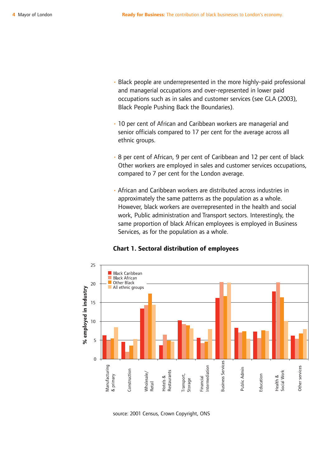- Black people are underrepresented in the more highly-paid professional and managerial occupations and over-represented in lower paid occupations such as in sales and customer services (see GLA (2003), Black People Pushing Back the Boundaries).
- 10 per cent of African and Caribbean workers are managerial and senior officials compared to 17 per cent for the average across all ethnic groups.
- 8 per cent of African, 9 per cent of Caribbean and 12 per cent of black Other workers are employed in sales and customer services occupations, compared to 7 per cent for the London average.
- African and Caribbean workers are distributed across industries in approximately the same patterns as the population as a whole. However, black workers are overrepresented in the health and social work, Public administration and Transport sectors. Interestingly, the same proportion of black African employees is employed in Business Services, as for the population as a whole.



### **Chart 1. Sectoral distribution of employees**

source: 2001 Census, Crown Copyright, ONS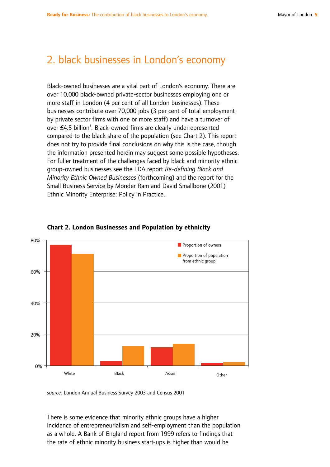## 2. black businesses in London's economy

Black-owned businesses are a vital part of London's economy. There are over 10,000 black-owned private-sector businesses employing one or more staff in London (4 per cent of all London businesses). These businesses contribute over 70,000 jobs (3 per cent of total employment by private sector firms with one or more staff) and have a turnover of over  $E4.5$  billion<sup>1</sup>. Black-owned firms are clearly underrepresented compared to the black share of the population (see Chart 2). This report does not try to provide final conclusions on why this is the case, though the information presented herein may suggest some possible hypotheses. For fuller treatment of the challenges faced by black and minority ethnic group-owned businesses see the LDA report *Re-defining Black and Minority Ethnic Owned Businesses* (forthcoming) and the report for the Small Business Service by Monder Ram and David Smallbone (2001) Ethnic Minority Enterprise: Policy in Practice.



### **Chart 2. London Businesses and Population by ethnicity**

*source:* London Annual Business Survey 2003 and Census 2001

There is some evidence that minority ethnic groups have a higher incidence of entrepreneurialism and self-employment than the population as a whole. A Bank of England report from 1999 refers to findings that the rate of ethnic minority business start-ups is higher than would be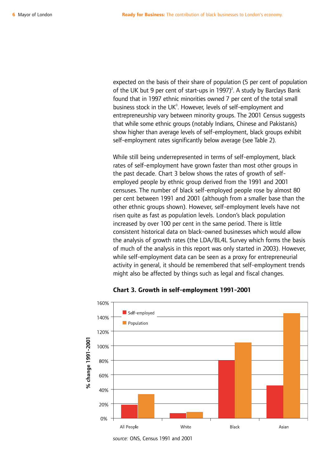expected on the basis of their share of population (5 per cent of population of the UK but 9 per cent of start-ups in  $1997)^2$ . A study by Barclays Bank found that in 1997 ethnic minorities owned 7 per cent of the total small business stock in the UK $3$ . However, levels of self-employment and entrepreneurship vary between minority groups. The 2001 Census suggests that while some ethnic groups (notably Indians, Chinese and Pakistanis) show higher than average levels of self-employment, black groups exhibit self-employment rates significantly below average (see Table 2).

While still being underrepresented in terms of self-employment, black rates of self-employment have grown faster than most other groups in the past decade. Chart 3 below shows the rates of growth of selfemployed people by ethnic group derived from the 1991 and 2001 censuses. The number of black self-employed people rose by almost 80 per cent between 1991 and 2001 (although from a smaller base than the other ethnic groups shown). However, self-employment levels have not risen quite as fast as population levels. London's black population increased by over 100 per cent in the same period. There is little consistent historical data on black-owned businesses which would allow the analysis of growth rates (the LDA/BL4L Survey which forms the basis of much of the analysis in this report was only started in 2003). However, while self-employment data can be seen as a proxy for entrepreneurial activity in general, it should be remembered that self-employment trends might also be affected by things such as legal and fiscal changes.



### **Chart 3. Growth in self-employment 1991-2001**

*source:* ONS, Census 1991 and 2001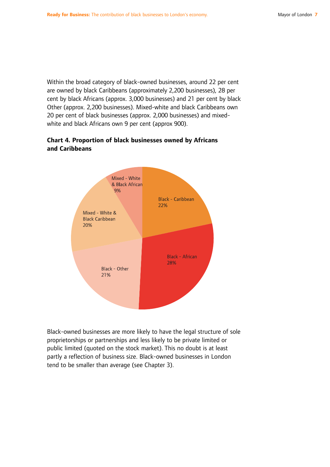Within the broad category of black-owned businesses, around 22 per cent are owned by black Caribbeans (approximately 2,200 businesses), 28 per cent by black Africans (approx. 3,000 businesses) and 21 per cent by black Other (approx. 2,200 businesses). Mixed-white and black Caribbeans own 20 per cent of black businesses (approx. 2,000 businesses) and mixedwhite and black Africans own 9 per cent (approx 900).

### **Chart 4. Proportion of black businesses owned by Africans and Caribbeans**



Black-owned businesses are more likely to have the legal structure of sole proprietorships or partnerships and less likely to be private limited or public limited (quoted on the stock market). This no doubt is at least partly a reflection of business size. Black-owned businesses in London tend to be smaller than average (see Chapter 3).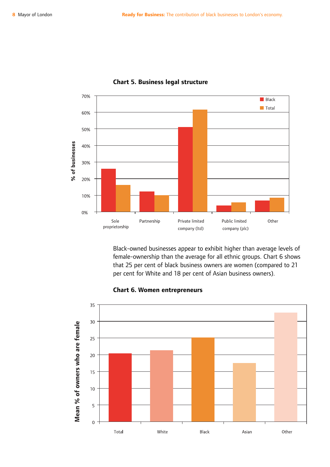

### **Chart 5. Business legal structure**

Black-owned businesses appear to exhibit higher than average levels of female-ownership than the average for all ethnic groups. Chart 6 shows that 25 per cent of black business owners are women (compared to 21 per cent for White and 18 per cent of Asian business owners).

### **Chart 6. Women entrepreneurs**

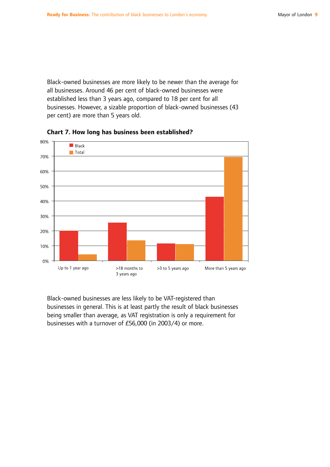Black-owned businesses are more likely to be newer than the average for all businesses. Around 46 per cent of black-owned businesses were established less than 3 years ago, compared to 18 per cent for all businesses. However, a sizable proportion of black-owned businesses (43 per cent) are more than 5 years old.





Black-owned businesses are less likely to be VAT-registered than businesses in general. This is at least partly the result of black businesses being smaller than average, as VAT registration is only a requirement for businesses with a turnover of £56,000 (in 2003/4) or more.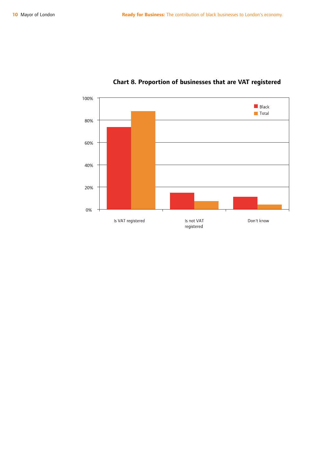

## **Chart 8. Proportion of businesses that are VAT registered**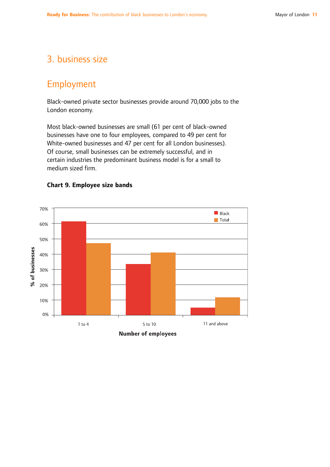## 3. business size

## Employment

Black-owned private sector businesses provide around 70,000 jobs to the London economy.

Most black-owned businesses are small (61 per cent of black-owned businesses have one to four employees, compared to 49 per cent for White-owned businesses and 47 per cent for all London businesses). Of course, small businesses can be extremely successful, and in certain industries the predominant business model is for a small to medium sized firm.



### **Chart 9. Employee size bands**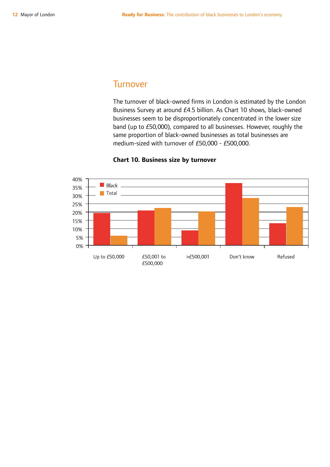## **Turnover**

The turnover of black-owned firms in London is estimated by the London Business Survey at around £4.5 billion. As Chart 10 shows, black-owned businesses seem to be disproportionately concentrated in the lower size band (up to £50,000), compared to all businesses. However, roughly the same proportion of black-owned businesses as total businesses are medium-sized with turnover of £50,000 - £500,000.



### **Chart 10. Business size by turnover**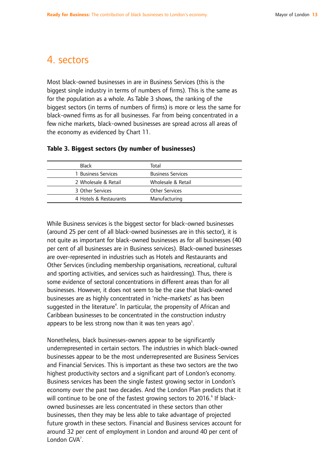## 4. sectors

Most black-owned businesses in are in Business Services (this is the biggest single industry in terms of numbers of firms). This is the same as for the population as a whole. As Table 3 shows, the ranking of the biggest sectors (in terms of numbers of firms) is more or less the same for black-owned firms as for all businesses. Far from being concentrated in a few niche markets, black-owned businesses are spread across all areas of the economy as evidenced by Chart 11.

| <b>Black</b>           | Total                    |
|------------------------|--------------------------|
| 1 Business Services    | <b>Business Services</b> |
| 2 Wholesale & Retail   | Wholesale & Retail       |
| 3 Other Services       | <b>Other Services</b>    |
| 4 Hotels & Restaurants | Manufacturing            |
|                        |                          |

### **Table 3. Biggest sectors (by number of businesses)**

While Business services is the biggest sector for black-owned businesses (around 25 per cent of all black-owned businesses are in this sector), it is not quite as important for black-owned businesses as for all businesses (40 per cent of all businesses are in Business services). Black-owned businesses are over-represented in industries such as Hotels and Restaurants and Other Services (including membership organisations, recreational, cultural and sporting activities, and services such as hairdressing). Thus, there is some evidence of sectoral concentrations in different areas than for all businesses. However, it does not seem to be the case that black-owned businesses are as highly concentrated in 'niche-markets' as has been suggested in the literature $^4$ . In particular, the propensity of African and Caribbean businesses to be concentrated in the construction industry appears to be less strong now than it was ten years ago $5$ .

Nonetheless, black businesses-owners appear to be significantly underrepresented in certain sectors. The industries in which black-owned businesses appear to be the most underrepresented are Business Services and Financial Services. This is important as these two sectors are the two highest productivity sectors and a significant part of London's economy. Business services has been the single fastest growing sector in London's economy over the past two decades. And the London Plan predicts that it will continue to be one of the fastest growing sectors to 2016.<sup>6</sup> If blackowned businesses are less concentrated in these sectors than other businesses, then they may be less able to take advantage of projected future growth in these sectors. Financial and Business services account for around 32 per cent of employment in London and around 40 per cent of London GVA<sup>7</sup>.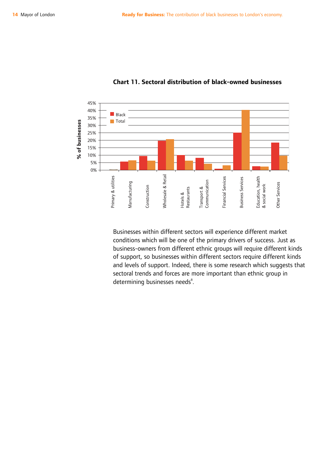

### **Chart 11. Sectoral distribution of black-owned businesses**

Businesses within different sectors will experience different market conditions which will be one of the primary drivers of success. Just as business-owners from different ethnic groups will require different kinds of support, so businesses within different sectors require different kinds and levels of support. Indeed, there is some research which suggests that sectoral trends and forces are more important than ethnic group in determining businesses needs<sup>8</sup>.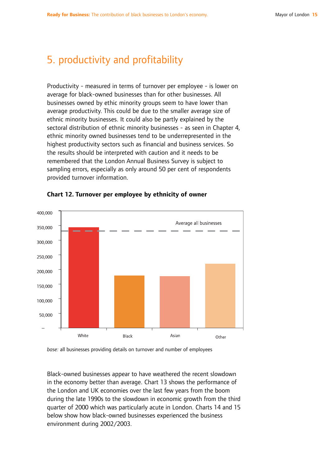## 5. productivity and profitability

Productivity - measured in terms of turnover per employee - is lower on average for black-owned businesses than for other businesses. All businesses owned by ethic minority groups seem to have lower than average productivity. This could be due to the smaller average size of ethnic minority businesses. It could also be partly explained by the sectoral distribution of ethnic minority businesses - as seen in Chapter 4, ethnic minority owned businesses tend to be underrepresented in the highest productivity sectors such as financial and business services. So the results should be interpreted with caution and it needs to be remembered that the London Annual Business Survey is subject to sampling errors, especially as only around 50 per cent of respondents provided turnover information.



### **Chart 12. Turnover per employee by ethnicity of owner**

*base:* all businesses providing details on turnover and number of employees

Black-owned businesses appear to have weathered the recent slowdown in the economy better than average. Chart 13 shows the performance of the London and UK economies over the last few years from the boom during the late 1990s to the slowdown in economic growth from the third quarter of 2000 which was particularly acute in London. Charts 14 and 15 below show how black-owned businesses experienced the business environment during 2002/2003.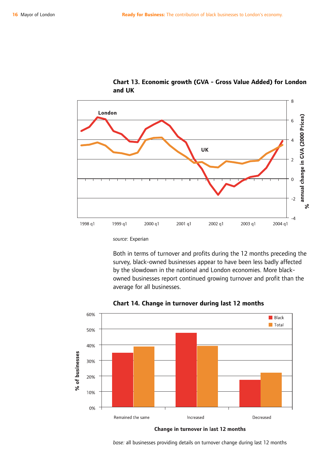

**Chart 13. Economic growth (GVA - Gross Value Added) for London and UK**

*source*: Experian

Both in terms of turnover and profits during the 12 months preceding the survey, black-owned businesses appear to have been less badly affected by the slowdown in the national and London economies. More blackowned businesses report continued growing turnover and profit than the average for all businesses.



**Chart 14. Change in turnover during last 12 months**

Change in turnover in last 12 months

*base:* all businesses providing details on turnover change during last 12 months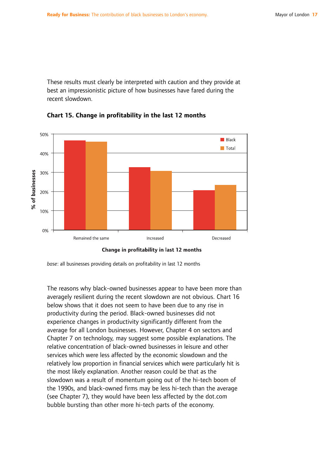These results must clearly be interpreted with caution and they provide at best an impressionistic picture of how businesses have fared during the recent slowdown.



**Chart 15. Change in profitability in the last 12 months**

```
Change in profitability in last 12 months
```
*base*: all businesses providing details on profitability in last 12 months

The reasons why black-owned businesses appear to have been more than averagely resilient during the recent slowdown are not obvious. Chart 16 below shows that it does not seem to have been due to any rise in productivity during the period. Black-owned businesses did not experience changes in productivity significantly different from the average for all London businesses. However, Chapter 4 on sectors and Chapter 7 on technology, may suggest some possible explanations. The relative concentration of black-owned businesses in leisure and other services which were less affected by the economic slowdown and the relatively low proportion in financial services which were particularly hit is the most likely explanation. Another reason could be that as the slowdown was a result of momentum going out of the hi-tech boom of the 1990s, and black-owned firms may be less hi-tech than the average (see Chapter 7), they would have been less affected by the dot.com bubble bursting than other more hi-tech parts of the economy.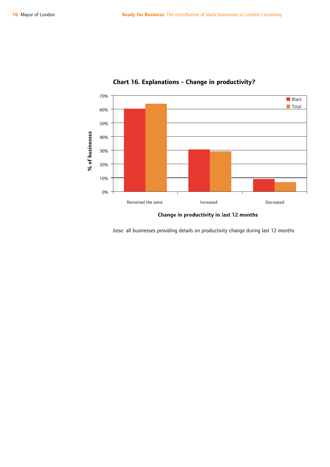

## **Chart 16. Explanations - Change in productivity?**

Change in productivity in last 12 months

*base:* all businesses providing details on productivity change during last 12 months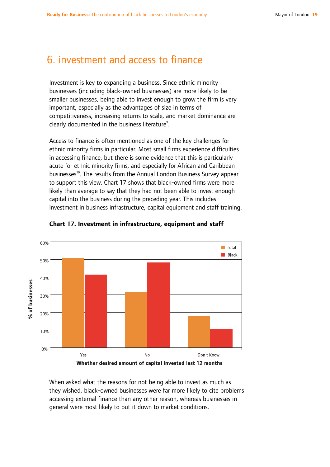## 6. investment and access to finance

Investment is key to expanding a business. Since ethnic minority businesses (including black-owned businesses) are more likely to be smaller businesses, being able to invest enough to grow the firm is very important, especially as the advantages of size in terms of competitiveness, increasing returns to scale, and market dominance are clearly documented in the business literature<sup>9</sup>.

Access to finance is often mentioned as one of the key challenges for ethnic minority firms in particular. Most small firms experience difficulties in accessing finance, but there is some evidence that this is particularly acute for ethnic minority firms, and especially for African and Caribbean businesses<sup>10</sup>. The results from the Annual London Business Survey appear to support this view. Chart 17 shows that black-owned firms were more likely than average to say that they had not been able to invest enough capital into the business during the preceding year. This includes investment in business infrastructure, capital equipment and staff training.





When asked what the reasons for not being able to invest as much as they wished, black-owned businesses were far more likely to cite problems accessing external finance than any other reason, whereas businesses in general were most likely to put it down to market conditions.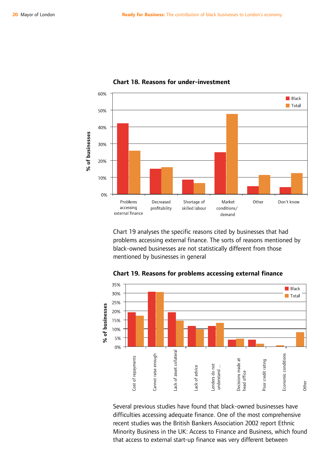

### **Chart 18. Reasons for under-investment**

Chart 19 analyses the specific reasons cited by businesses that had problems accessing external finance. The sorts of reasons mentioned by black-owned businesses are not statistically different from those mentioned by businesses in general



**Chart 19. Reasons for problems accessing external finance**

Several previous studies have found that black-owned businesses have difficulties accessing adequate finance. One of the most comprehensive recent studies was the British Bankers Association 2002 report Ethnic Minority Business in the UK: Access to Finance and Business, which found that access to external start-up finance was very different between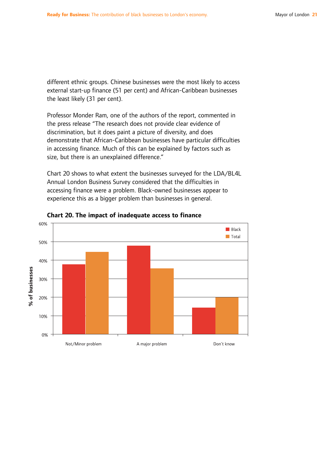different ethnic groups. Chinese businesses were the most likely to access external start-up finance (51 per cent) and African-Caribbean businesses the least likely (31 per cent).

Professor Monder Ram, one of the authors of the report, commented in the press release "The research does not provide clear evidence of discrimination, but it does paint a picture of diversity, and does demonstrate that African-Caribbean businesses have particular difficulties in accessing finance. Much of this can be explained by factors such as size, but there is an unexplained difference."

Chart 20 shows to what extent the businesses surveyed for the LDA/BL4L Annual London Business Survey considered that the difficulties in accessing finance were a problem. Black-owned businesses appear to experience this as a bigger problem than businesses in general.



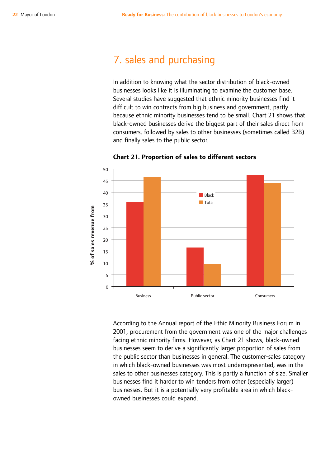## 7. sales and purchasing

In addition to knowing what the sector distribution of black-owned businesses looks like it is illuminating to examine the customer base. Several studies have suggested that ethnic minority businesses find it difficult to win contracts from big business and government, partly because ethnic minority businesses tend to be small. Chart 21 shows that black-owned businesses derive the biggest part of their sales direct from consumers, followed by sales to other businesses (sometimes called B2B) and finally sales to the public sector.



**Chart 21. Proportion of sales to different sectors**

According to the Annual report of the Ethic Minority Business Forum in 2001, procurement from the government was one of the major challenges facing ethnic minority firms. However, as Chart 21 shows, black-owned businesses seem to derive a significantly larger proportion of sales from the public sector than businesses in general. The customer-sales category in which black-owned businesses was most underrepresented, was in the sales to other businesses category. This is partly a function of size. Smaller businesses find it harder to win tenders from other (especially larger) businesses. But it is a potentially very profitable area in which blackowned businesses could expand.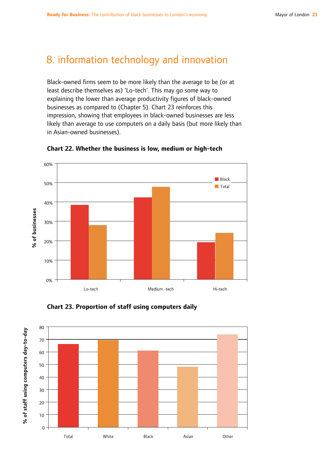## 8. information technology and innovation

Black-owned firms seem to be more likely than the average to be (or at least describe themselves as) 'Lo-tech'. This may go some way to explaining the lower than average productivity figures of black-owned businesses as compared to (Chapter 5). Chart 23 reinforces this impression, showing that employees in black-owned businesses are less likely than average to use computers on a daily basis (but more likely than in Asian-owned businesses).







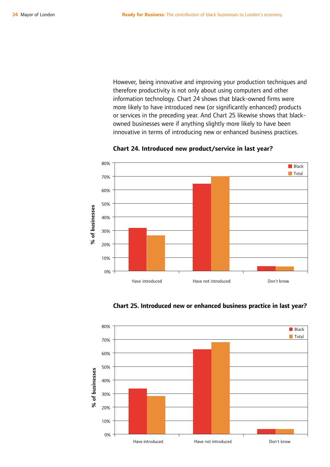However, being innovative and improving your production techniques and therefore productivity is not only about using computers and other information technology. Chart 24 shows that black-owned firms were more likely to have introduced new (or significantly enhanced) products or services in the preceding year. And Chart 25 likewise shows that blackowned businesses were if anything slightly more likely to have been innovative in terms of introducing new or enhanced business practices.



**Chart 24. Introduced new product/service in last year?**

**Chart 25. Introduced new or enhanced business practice in last year?**

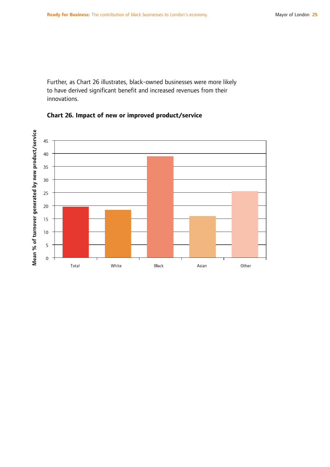Further, as Chart 26 illustrates, black-owned businesses were more likely to have derived significant benefit and increased revenues from their innovations.



### **Chart 26. Impact of new or improved product/service**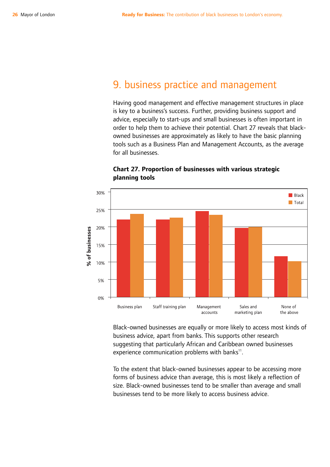## 9. business practice and management

Having good management and effective management structures in place is key to a business's success. Further, providing business support and advice, especially to start-ups and small businesses is often important in order to help them to achieve their potential. Chart 27 reveals that blackowned businesses are approximately as likely to have the basic planning tools such as a Business Plan and Management Accounts, as the average for all businesses.



**Chart 27. Proportion of businesses with various strategic planning tools**

Black-owned businesses are equally or more likely to access most kinds of business advice, apart from banks. This supports other research suggesting that particularly African and Caribbean owned businesses experience communication problems with banks<sup>11</sup>.

To the extent that black-owned businesses appear to be accessing more forms of business advice than average, this is most likely a reflection of size. Black-owned businesses tend to be smaller than average and small businesses tend to be more likely to access business advice.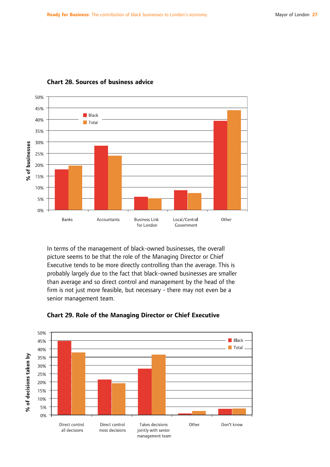

### **Chart 28. Sources of business advice**

In terms of the management of black-owned businesses, the overall picture seems to be that the role of the Managing Director or Chief Executive tends to be more directly controlling than the average. This is probably largely due to the fact that black-owned businesses are smaller than average and so direct control and management by the head of the firm is not just more feasible, but necessary - there may not even be a senior management team.



**Chart 29. Role of the Managing Director or Chief Executive**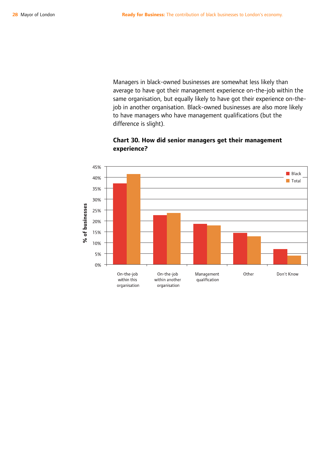Managers in black-owned businesses are somewhat less likely than average to have got their management experience on-the-job within the same organisation, but equally likely to have got their experience on-thejob in another organisation. Black-owned businesses are also more likely to have managers who have management qualifications (but the difference is slight).



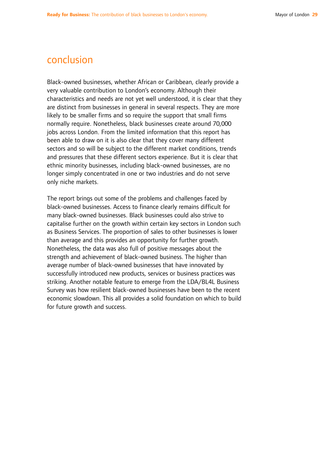## conclusion

Black-owned businesses, whether African or Caribbean, clearly provide a very valuable contribution to London's economy. Although their characteristics and needs are not yet well understood, it is clear that they are distinct from businesses in general in several respects. They are more likely to be smaller firms and so require the support that small firms normally require. Nonetheless, black businesses create around 70,000 jobs across London. From the limited information that this report has been able to draw on it is also clear that they cover many different sectors and so will be subject to the different market conditions, trends and pressures that these different sectors experience. But it is clear that ethnic minority businesses, including black-owned businesses, are no longer simply concentrated in one or two industries and do not serve only niche markets.

The report brings out some of the problems and challenges faced by black-owned businesses. Access to finance clearly remains difficult for many black-owned businesses. Black businesses could also strive to capitalise further on the growth within certain key sectors in London such as Business Services. The proportion of sales to other businesses is lower than average and this provides an opportunity for further growth. Nonetheless, the data was also full of positive messages about the strength and achievement of black-owned business. The higher than average number of black-owned businesses that have innovated by successfully introduced new products, services or business practices was striking. Another notable feature to emerge from the LDA/BL4L Business Survey was how resilient black-owned businesses have been to the recent economic slowdown. This all provides a solid foundation on which to build for future growth and success.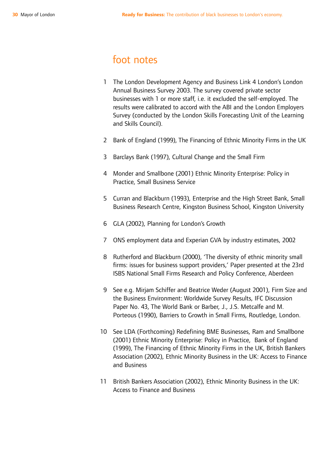## foot notes

- 1 The London Development Agency and Business Link 4 London's London Annual Business Survey 2003. The survey covered private sector businesses with 1 or more staff, i.e. it excluded the self-employed. The results were calibrated to accord with the ABI and the London Employers Survey (conducted by the London Skills Forecasting Unit of the Learning and Skills Council).
- 2 Bank of England (1999), The Financing of Ethnic Minority Firms in the UK
- 3 Barclays Bank (1997), Cultural Change and the Small Firm
- 4 Monder and Smallbone (2001) Ethnic Minority Enterprise: Policy in Practice, Small Business Service
- 5 Curran and Blackburn (1993), Enterprise and the High Street Bank, Small Business Research Centre, Kingston Business School, Kingston University
- 6 GLA (2002), Planning for London's Growth
- 7 ONS employment data and Experian GVA by industry estimates, 2002
- 8 Rutherford and Blackburn (2000), 'The diversity of ethnic minority small firms: issues for business support providers,' Paper presented at the 23rd ISBS National Small Firms Research and Policy Conference, Aberdeen
- 9 See e.g. Mirjam Schiffer and Beatrice Weder (August 2001), Firm Size and the Business Environment: Worldwide Survey Results, IFC Discussion Paper No. 43, The World Bank or Barber, J., J.S. Metcalfe and M. Porteous (1990), Barriers to Growth in Small Firms, Routledge, London.
- 10 See LDA (Forthcoming) Redefining BME Businesses, Ram and Smallbone (2001) Ethnic Minority Enterprise: Policy in Practice, Bank of England (1999), The Financing of Ethnic Minority Firms in the UK, British Bankers Association (2002), Ethnic Minority Business in the UK: Access to Finance and Business
- 11 British Bankers Association (2002), Ethnic Minority Business in the UK: Access to Finance and Business